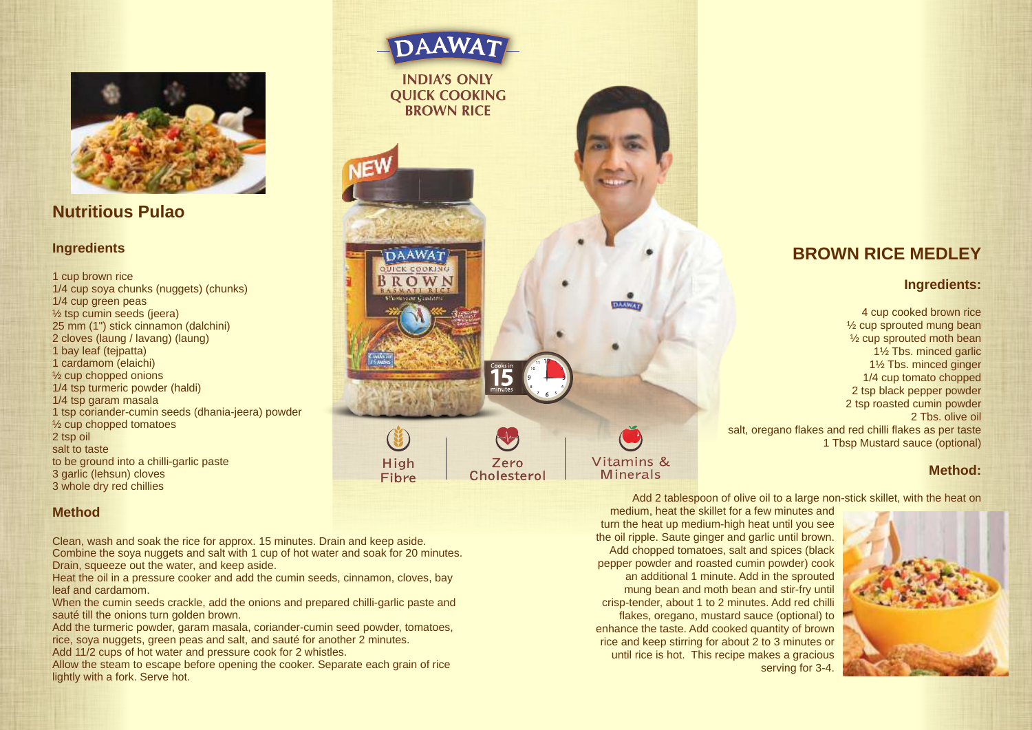

**Nutritious Pulao**

#### **Ingredients**

1 cup brown rice 1/4 cup soya chunks (nuggets) (chunks) 1/4 cup green peas ½ tsp cumin seeds (jeera) 25 mm (1") stick cinnamon (dalchini) 2 cloves (laung / lavang) (laung) 1 bay leaf (tejpatta) 1 cardamom (elaichi) ½ cup chopped onions 1/4 tsp turmeric powder (haldi) 1/4 tsp garam masala 1 tsp coriander-cumin seeds (dhania-jeera) powder ½ cup chopped tomatoes 2 tsp oil salt to taste to be ground into a chilli-garlic paste 3 garlic (lehsun) cloves 3 whole dry red chillies

#### **Method**

Clean, wash and soak the rice for approx. 15 minutes. Drain and keep aside. Combine the soya nuggets and salt with 1 cup of hot water and soak for 20 minutes. Drain, squeeze out the water, and keep aside.

**DAAWAT UICK COOKING** BROWN

High

Fibre

Heat the oil in a pressure cooker and add the cumin seeds, cinnamon, cloves, bay leaf and cardamom.

When the cumin seeds crackle, add the onions and prepared chilli-garlic paste and sauté till the onions turn golden brown.

Add the turmeric powder, garam masala, coriander-cumin seed powder, tomatoes, rice, soya nuggets, green peas and salt, and sauté for another 2 minutes.

Add 11/2 cups of hot water and pressure cook for 2 whistles.

Allow the steam to escape before opening the cooker. Separate each grain of rice lightly with a fork. Serve hot.

**DAAWA7 INDIA'S ONLY QUICK COOKING BROWN RICE DAAWAR** Vitamins & Zero **Minerals Cholesterol** 

# **BROWN RICE MEDLEY**

#### **Ingredients:**

4 cup cooked brown rice ½ cup sprouted mung bean ½ cup sprouted moth bean 1½ Tbs. minced garlic 1½ Tbs. minced ginger 1/4 cup tomato chopped 2 tsp black pepper powder 2 tsp roasted cumin powder 2 Tbs. olive oil salt, oregano flakes and red chilli flakes as per taste 1 Tbsp Mustard sauce (optional)

#### **Method:**

Add 2 tablespoon of olive oil to a large non-stick skillet, with the heat on

medium, heat the skillet for a few minutes and turn the heat up medium-high heat until you see the oil ripple. Saute ginger and garlic until brown. Add chopped tomatoes, salt and spices (black pepper powder and roasted cumin powder) cook an additional 1 minute. Add in the sprouted mung bean and moth bean and stir-fry until crisp-tender, about 1 to 2 minutes. Add red chilli flakes, oregano, mustard sauce (optional) to enhance the taste. Add cooked quantity of brown rice and keep stirring for about 2 to 3 minutes or until rice is hot. This recipe makes a gracious serving for 3-4.